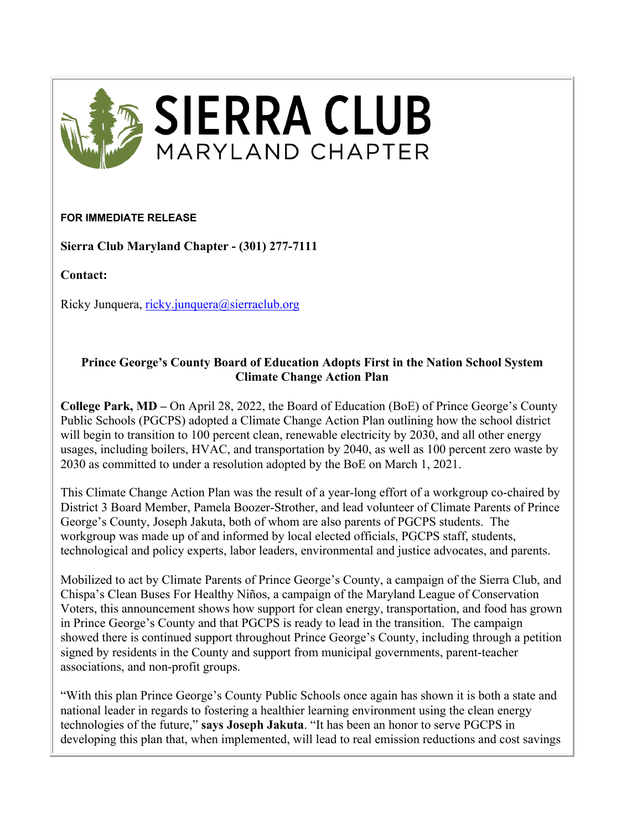

## **FOR IMMEDIATE RELEASE**

**Sierra Club Maryland Chapter - (301) 277-7111**

**Contact:**

Ricky Junquera, ricky.junquera@sierraclub.org

## **Prince George's County Board of Education Adopts First in the Nation School System Climate Change Action Plan**

**College Park, MD –** On April 28, 2022, the Board of Education (BoE) of Prince George's County Public Schools (PGCPS) adopted a Climate Change Action Plan outlining how the school district will begin to transition to 100 percent clean, renewable electricity by 2030, and all other energy usages, including boilers, HVAC, and transportation by 2040, as well as 100 percent zero waste by 2030 as committed to under a resolution adopted by the BoE on March 1, 2021.

This Climate Change Action Plan was the result of a year-long effort of a workgroup co-chaired by District 3 Board Member, Pamela Boozer-Strother, and lead volunteer of Climate Parents of Prince George's County, Joseph Jakuta, both of whom are also parents of PGCPS students. The workgroup was made up of and informed by local elected officials, PGCPS staff, students, technological and policy experts, labor leaders, environmental and justice advocates, and parents.

Mobilized to act by Climate Parents of Prince George's County, a campaign of the Sierra Club, and Chispa's Clean Buses For Healthy Niños, a campaign of the Maryland League of Conservation Voters, this announcement shows how support for clean energy, transportation, and food has grown in Prince George's County and that PGCPS is ready to lead in the transition. The campaign showed there is continued support throughout Prince George's County, including through a petition signed by residents in the County and support from municipal governments, parent-teacher associations, and non-profit groups.

"With this plan Prince George's County Public Schools once again has shown it is both a state and national leader in regards to fostering a healthier learning environment using the clean energy technologies of the future," **says Joseph Jakuta**. "It has been an honor to serve PGCPS in developing this plan that, when implemented, will lead to real emission reductions and cost savings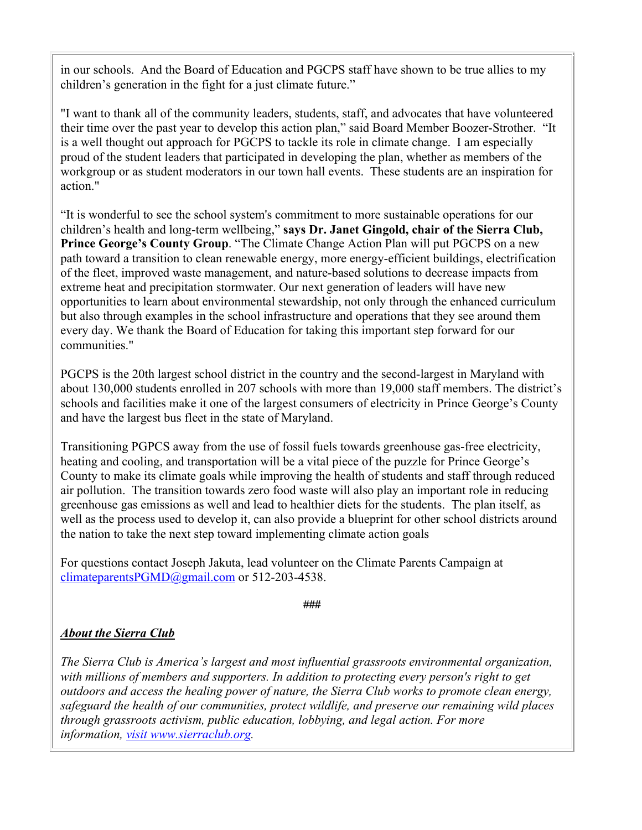in our schools. And the Board of Education and PGCPS staff have shown to be true allies to my children's generation in the fight for a just climate future."

"I want to thank all of the community leaders, students, staff, and advocates that have volunteered their time over the past year to develop this action plan," said Board Member Boozer-Strother. "It is a well thought out approach for PGCPS to tackle its role in climate change. I am especially proud of the student leaders that participated in developing the plan, whether as members of the workgroup or as student moderators in our town hall events. These students are an inspiration for action."

"It is wonderful to see the school system's commitment to more sustainable operations for our children's health and long-term wellbeing," **says Dr. Janet Gingold, chair of the Sierra Club, Prince George's County Group**. "The Climate Change Action Plan will put PGCPS on a new path toward a transition to clean renewable energy, more energy-efficient buildings, electrification of the fleet, improved waste management, and nature-based solutions to decrease impacts from extreme heat and precipitation stormwater. Our next generation of leaders will have new opportunities to learn about environmental stewardship, not only through the enhanced curriculum but also through examples in the school infrastructure and operations that they see around them every day. We thank the Board of Education for taking this important step forward for our communities."

PGCPS is the 20th largest school district in the country and the second-largest in Maryland with about 130,000 students enrolled in 207 schools with more than 19,000 staff members. The district's schools and facilities make it one of the largest consumers of electricity in Prince George's County and have the largest bus fleet in the state of Maryland.

Transitioning PGPCS away from the use of fossil fuels towards greenhouse gas-free electricity, heating and cooling, and transportation will be a vital piece of the puzzle for Prince George's County to make its climate goals while improving the health of students and staff through reduced air pollution. The transition towards zero food waste will also play an important role in reducing greenhouse gas emissions as well and lead to healthier diets for the students. The plan itself, as well as the process used to develop it, can also provide a blueprint for other school districts around the nation to take the next step toward implementing climate action goals

For questions contact Joseph Jakuta, lead volunteer on the Climate Parents Campaign at climateparentsPGMD@gmail.com or 512-203-4538.

###

## *About the Sierra Club*

*The Sierra Club is America's largest and most influential grassroots environmental organization, with millions of members and supporters. In addition to protecting every person's right to get outdoors and access the healing power of nature, the Sierra Club works to promote clean energy, safeguard the health of our communities, protect wildlife, and preserve our remaining wild places through grassroots activism, public education, lobbying, and legal action. For more information, visit www.sierraclub.org.*